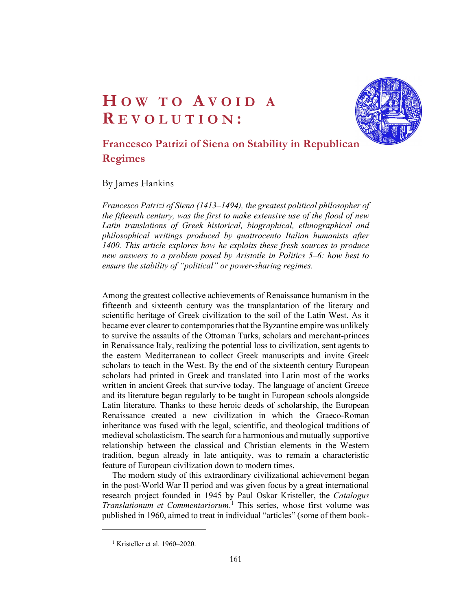

# HOW TO AVOID A<br>REVOLUTION:<br>Francesco Patrizi of Siena on Stability in Republican<br>Regimes HOW TO AVOID A<br>R E VOLUTION :<br>Francesco Patrizi of Siena on Stability in Republican<br>Regimes Francesco Patrizi of Siena on Stability in Republican Regimes

# By James Hankins

Francesco Patrizi of Siena (1413–1494), the greatest political philosopher of the fifteenth century, was the first to make extensive use of the flood of new Latin translations of Greek historical, biographical, ethnographical and philosophical writings produced by quattrocento Italian humanists after 1400. This article explores how he exploits these fresh sources to produce new answers to a problem posed by Aristotle in Politics 5–6: how best to ensure the stability of "political" or power-sharing regimes.

Among the greatest collective achievements of Renaissance humanism in the fifteenth and sixteenth century was the transplantation of the literary and scientific heritage of Greek civilization to the soil of the Latin West. As it became ever clearer to contemporaries that the Byzantine empire was unlikely to survive the assaults of the Ottoman Turks, scholars and merchant-princes in Renaissance Italy, realizing the potential loss to civilization, sent agents to the eastern Mediterranean to collect Greek manuscripts and invite Greek scholars to teach in the West. By the end of the sixteenth century European scholars had printed in Greek and translated into Latin most of the works written in ancient Greek that survive today. The language of ancient Greece and its literature began regularly to be taught in European schools alongside Latin literature. Thanks to these heroic deeds of scholarship, the European Renaissance created a new civilization in which the Graeco-Roman inheritance was fused with the legal, scientific, and theological traditions of medieval scholasticism. The search for a harmonious and mutually supportive relationship between the classical and Christian elements in the Western tradition, begun already in late antiquity, was to remain a characteristic feature of European civilization down to modern times.

 The modern study of this extraordinary civilizational achievement began in the post-World War II period and was given focus by a great international research project founded in 1945 by Paul Oskar Kristeller, the Catalogus Translationum et Commentariorum.<sup>1</sup> This series, whose first volume was published in 1960, aimed to treat in individual "articles" (some of them book-

<sup>&</sup>lt;sup>1</sup> Kristeller et al. 1960–2020.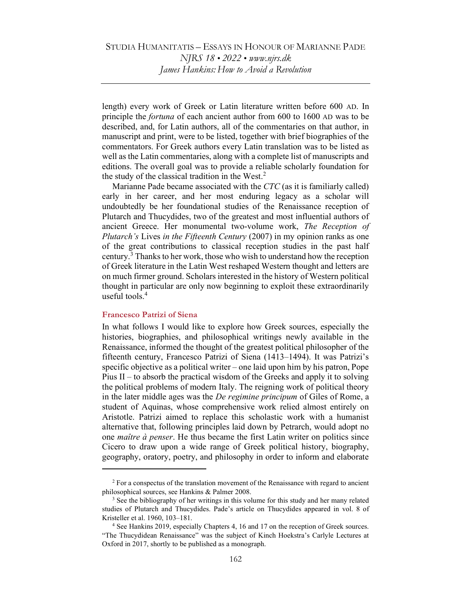length) every work of Greek or Latin literature written before 600 AD. In principle the fortuna of each ancient author from 600 to 1600 AD was to be described, and, for Latin authors, all of the commentaries on that author, in manuscript and print, were to be listed, together with brief biographies of the commentators. For Greek authors every Latin translation was to be listed as well as the Latin commentaries, along with a complete list of manuscripts and editions. The overall goal was to provide a reliable scholarly foundation for the study of the classical tradition in the West. $2$ 

 Marianne Pade became associated with the CTC (as it is familiarly called) early in her career, and her most enduring legacy as a scholar will undoubtedly be her foundational studies of the Renaissance reception of Plutarch and Thucydides, two of the greatest and most influential authors of ancient Greece. Her monumental two-volume work, The Reception of Plutarch's Lives in the Fifteenth Century (2007) in my opinion ranks as one of the great contributions to classical reception studies in the past half century.<sup>3</sup> Thanks to her work, those who wish to understand how the reception of Greek literature in the Latin West reshaped Western thought and letters are on much firmer ground. Scholars interested in the history of Western political thought in particular are only now beginning to exploit these extraordinarily useful tools. $4$ 

#### Francesco Patrizi of Siena

In what follows I would like to explore how Greek sources, especially the histories, biographies, and philosophical writings newly available in the Renaissance, informed the thought of the greatest political philosopher of the fifteenth century, Francesco Patrizi of Siena (1413–1494). It was Patrizi's specific objective as a political writer – one laid upon him by his patron, Pope Pius II – to absorb the practical wisdom of the Greeks and apply it to solving the political problems of modern Italy. The reigning work of political theory in the later middle ages was the *De regimine principum* of Giles of Rome, a student of Aquinas, whose comprehensive work relied almost entirely on Aristotle. Patrizi aimed to replace this scholastic work with a humanist alternative that, following principles laid down by Petrarch, would adopt no one maître à penser. He thus became the first Latin writer on politics since Cicero to draw upon a wide range of Greek political history, biography, geography, oratory, poetry, and philosophy in order to inform and elaborate

 $2^2$  For a conspectus of the translation movement of the Renaissance with regard to ancient philosophical sources, see Hankins & Palmer 2008.

 $3$  See the bibliography of her writings in this volume for this study and her many related studies of Plutarch and Thucydides. Pade's article on Thucydides appeared in vol. 8 of Kristeller et al. 1960, 103–181.

<sup>&</sup>lt;sup>4</sup> See Hankins 2019, especially Chapters 4, 16 and 17 on the reception of Greek sources. "The Thucydidean Renaissance" was the subject of Kinch Hoekstra's Carlyle Lectures at Oxford in 2017, shortly to be published as a monograph.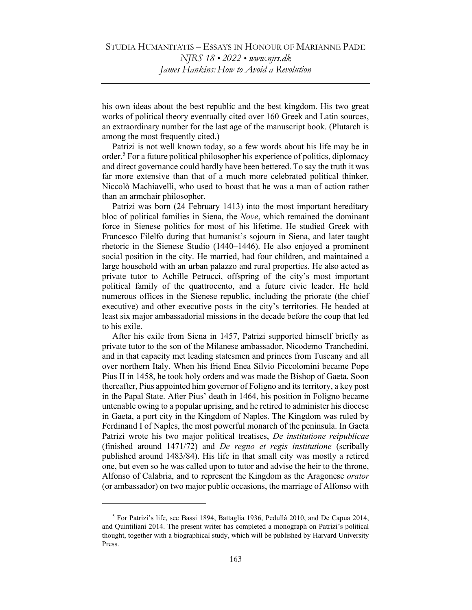his own ideas about the best republic and the best kingdom. His two great works of political theory eventually cited over 160 Greek and Latin sources, an extraordinary number for the last age of the manuscript book. (Plutarch is among the most frequently cited.)

 Patrizi is not well known today, so a few words about his life may be in order.<sup>5</sup> For a future political philosopher his experience of politics, diplomacy and direct governance could hardly have been bettered. To say the truth it was far more extensive than that of a much more celebrated political thinker, Niccolò Machiavelli, who used to boast that he was a man of action rather than an armchair philosopher.

 Patrizi was born (24 February 1413) into the most important hereditary bloc of political families in Siena, the Nove, which remained the dominant force in Sienese politics for most of his lifetime. He studied Greek with Francesco Filelfo during that humanist's sojourn in Siena, and later taught rhetoric in the Sienese Studio (1440–1446). He also enjoyed a prominent social position in the city. He married, had four children, and maintained a large household with an urban palazzo and rural properties. He also acted as private tutor to Achille Petrucci, offspring of the city's most important political family of the quattrocento, and a future civic leader. He held numerous offices in the Sienese republic, including the priorate (the chief executive) and other executive posts in the city's territories. He headed at least six major ambassadorial missions in the decade before the coup that led to his exile.

 After his exile from Siena in 1457, Patrizi supported himself briefly as private tutor to the son of the Milanese ambassador, Nicodemo Tranchedini, and in that capacity met leading statesmen and princes from Tuscany and all over northern Italy. When his friend Enea Silvio Piccolomini became Pope Pius II in 1458, he took holy orders and was made the Bishop of Gaeta. Soon thereafter, Pius appointed him governor of Foligno and its territory, a key post in the Papal State. After Pius' death in 1464, his position in Foligno became untenable owing to a popular uprising, and he retired to administer his diocese in Gaeta, a port city in the Kingdom of Naples. The Kingdom was ruled by Ferdinand I of Naples, the most powerful monarch of the peninsula. In Gaeta Patrizi wrote his two major political treatises, De institutione reipublicae (finished around 1471/72) and De regno et regis institutione (scribally published around 1483/84). His life in that small city was mostly a retired one, but even so he was called upon to tutor and advise the heir to the throne, Alfonso of Calabria, and to represent the Kingdom as the Aragonese orator (or ambassador) on two major public occasions, the marriage of Alfonso with

<sup>&</sup>lt;sup>5</sup> For Patrizi's life, see Bassi 1894, Battaglia 1936, Pedullà 2010, and De Capua 2014, and Quintiliani 2014. The present writer has completed a monograph on Patrizi's political thought, together with a biographical study, which will be published by Harvard University Press.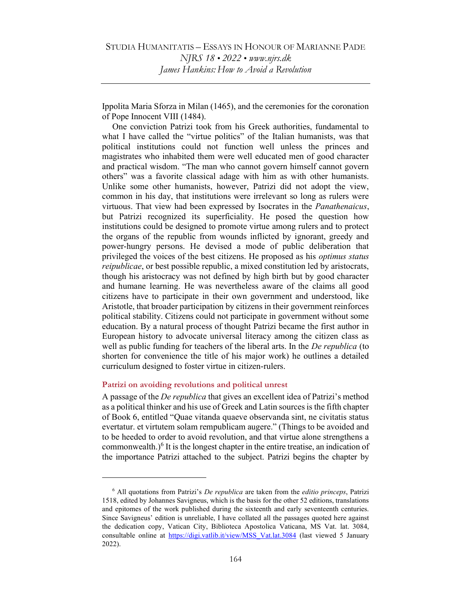Ippolita Maria Sforza in Milan (1465), and the ceremonies for the coronation of Pope Innocent VIII (1484).

 One conviction Patrizi took from his Greek authorities, fundamental to what I have called the "virtue politics" of the Italian humanists, was that political institutions could not function well unless the princes and magistrates who inhabited them were well educated men of good character and practical wisdom. "The man who cannot govern himself cannot govern others" was a favorite classical adage with him as with other humanists. Unlike some other humanists, however, Patrizi did not adopt the view, common in his day, that institutions were irrelevant so long as rulers were virtuous. That view had been expressed by Isocrates in the Panathenaicus, but Patrizi recognized its superficiality. He posed the question how institutions could be designed to promote virtue among rulers and to protect the organs of the republic from wounds inflicted by ignorant, greedy and power-hungry persons. He devised a mode of public deliberation that privileged the voices of the best citizens. He proposed as his optimus status reipublicae, or best possible republic, a mixed constitution led by aristocrats, though his aristocracy was not defined by high birth but by good character and humane learning. He was nevertheless aware of the claims all good citizens have to participate in their own government and understood, like Aristotle, that broader participation by citizens in their government reinforces political stability. Citizens could not participate in government without some education. By a natural process of thought Patrizi became the first author in European history to advocate universal literacy among the citizen class as well as public funding for teachers of the liberal arts. In the *De republica* (to shorten for convenience the title of his major work) he outlines a detailed curriculum designed to foster virtue in citizen-rulers.

# Patrizi on avoiding revolutions and political unrest

A passage of the *De republica* that gives an excellent idea of Patrizi's method as a political thinker and his use of Greek and Latin sources is the fifth chapter of Book 6, entitled "Quae vitanda quaeve observanda sint, ne civitatis status evertatur. et virtutem solam rempublicam augere." (Things to be avoided and to be heeded to order to avoid revolution, and that virtue alone strengthens a commonwealth.) $<sup>6</sup>$  It is the longest chapter in the entire treatise, an indication of</sup> the importance Patrizi attached to the subject. Patrizi begins the chapter by

 $6$  All quotations from Patrizi's *De republica* are taken from the *editio princeps*, Patrizi 1518, edited by Johannes Savigneus, which is the basis for the other 52 editions, translations and epitomes of the work published during the sixteenth and early seventeenth centuries. Since Savigneus' edition is unreliable, I have collated all the passages quoted here against the dedication copy, Vatican City, Biblioteca Apostolica Vaticana, MS Vat. lat. 3084, consultable online at https://digi.vatlib.it/view/MSS\_Vat.lat.3084 (last viewed 5 January 2022).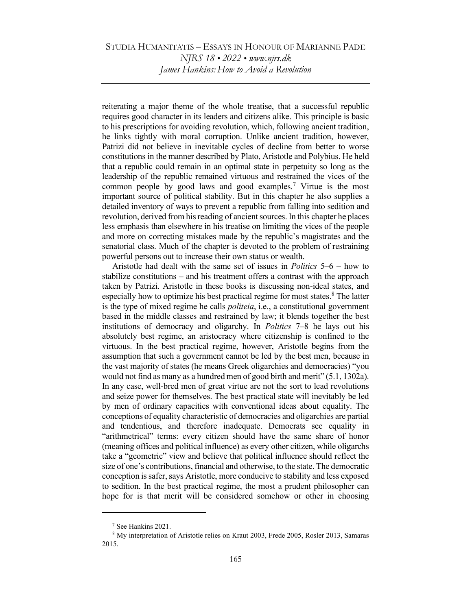# STUDIA HUMANITATIS – ESSAYS IN HONOUR OF MARIANNE PADE NJRS 18 • 2022 • www.njrs.dk James Hankins: How to Avoid a Revolution

reiterating a major theme of the whole treatise, that a successful republic requires good character in its leaders and citizens alike. This principle is basic to his prescriptions for avoiding revolution, which, following ancient tradition, he links tightly with moral corruption. Unlike ancient tradition, however, Patrizi did not believe in inevitable cycles of decline from better to worse constitutions in the manner described by Plato, Aristotle and Polybius. He held that a republic could remain in an optimal state in perpetuity so long as the leadership of the republic remained virtuous and restrained the vices of the common people by good laws and good examples.<sup>7</sup> Virtue is the most important source of political stability. But in this chapter he also supplies a detailed inventory of ways to prevent a republic from falling into sedition and revolution, derived from his reading of ancient sources. In this chapter he places less emphasis than elsewhere in his treatise on limiting the vices of the people and more on correcting mistakes made by the republic's magistrates and the senatorial class. Much of the chapter is devoted to the problem of restraining powerful persons out to increase their own status or wealth.

Aristotle had dealt with the same set of issues in Politics 5–6 – how to stabilize constitutions – and his treatment offers a contrast with the approach taken by Patrizi. Aristotle in these books is discussing non-ideal states, and especially how to optimize his best practical regime for most states.<sup>8</sup> The latter is the type of mixed regime he calls *politeia*, i.e., a constitutional government based in the middle classes and restrained by law; it blends together the best institutions of democracy and oligarchy. In Politics 7–8 he lays out his absolutely best regime, an aristocracy where citizenship is confined to the virtuous. In the best practical regime, however, Aristotle begins from the assumption that such a government cannot be led by the best men, because in the vast majority of states (he means Greek oligarchies and democracies) "you would not find as many as a hundred men of good birth and merit" (5.1, 1302a). In any case, well-bred men of great virtue are not the sort to lead revolutions and seize power for themselves. The best practical state will inevitably be led by men of ordinary capacities with conventional ideas about equality. The conceptions of equality characteristic of democracies and oligarchies are partial and tendentious, and therefore inadequate. Democrats see equality in "arithmetrical" terms: every citizen should have the same share of honor (meaning offices and political influence) as every other citizen, while oligarchs take a "geometric" view and believe that political influence should reflect the size of one's contributions, financial and otherwise, to the state. The democratic conception is safer, says Aristotle, more conducive to stability and less exposed to sedition. In the best practical regime, the most a prudent philosopher can hope for is that merit will be considered somehow or other in choosing

<sup>7</sup> See Hankins 2021.

<sup>&</sup>lt;sup>8</sup> My interpretation of Aristotle relies on Kraut 2003, Frede 2005, Rosler 2013, Samaras 2015.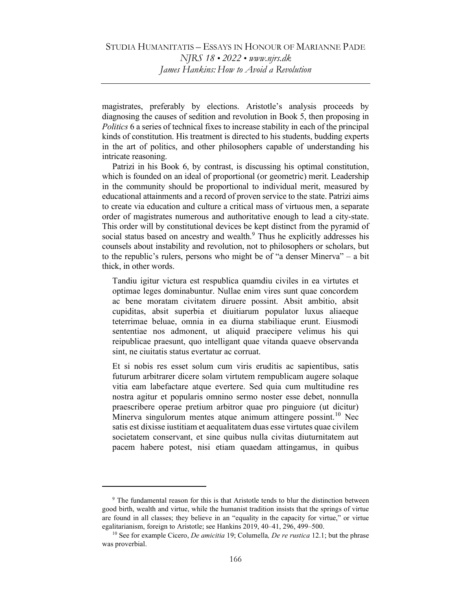magistrates, preferably by elections. Aristotle's analysis proceeds by diagnosing the causes of sedition and revolution in Book 5, then proposing in Politics 6 a series of technical fixes to increase stability in each of the principal kinds of constitution. His treatment is directed to his students, budding experts in the art of politics, and other philosophers capable of understanding his intricate reasoning.

Patrizi in his Book 6, by contrast, is discussing his optimal constitution, which is founded on an ideal of proportional (or geometric) merit. Leadership in the community should be proportional to individual merit, measured by educational attainments and a record of proven service to the state. Patrizi aims to create via education and culture a critical mass of virtuous men, a separate order of magistrates numerous and authoritative enough to lead a city-state. This order will by constitutional devices be kept distinct from the pyramid of social status based on ancestry and wealth.<sup>9</sup> Thus he explicitly addresses his counsels about instability and revolution, not to philosophers or scholars, but to the republic's rulers, persons who might be of "a denser Minerva" – a bit thick, in other words.

Tandiu igitur victura est respublica quamdiu civiles in ea virtutes et optimae leges dominabuntur. Nullae enim vires sunt quae concordem ac bene moratam civitatem diruere possint. Absit ambitio, absit cupiditas, absit superbia et diuitiarum populator luxus aliaeque teterrimae beluae, omnia in ea diurna stabiliaque erunt. Eiusmodi sententiae nos admonent, ut aliquid praecipere velimus his qui reipublicae praesunt, quo intelligant quae vitanda quaeve observanda sint, ne ciuitatis status evertatur ac corruat.

Et si nobis res esset solum cum viris eruditis ac sapientibus, satis futurum arbitrarer dicere solam virtutem rempublicam augere solaque vitia eam labefactare atque evertere. Sed quia cum multitudine res nostra agitur et popularis omnino sermo noster esse debet, nonnulla praescribere operae pretium arbitror quae pro pinguiore (ut dicitur) Minerva singulorum mentes atque animum attingere possint.<sup>10</sup> Nec satis est dixisse iustitiam et aequalitatem duas esse virtutes quae civilem societatem conservant, et sine quibus nulla civitas diuturnitatem aut pacem habere potest, nisi etiam quaedam attingamus, in quibus

<sup>&</sup>lt;sup>9</sup> The fundamental reason for this is that Aristotle tends to blur the distinction between good birth, wealth and virtue, while the humanist tradition insists that the springs of virtue are found in all classes; they believe in an "equality in the capacity for virtue," or virtue egalitarianism, foreign to Aristotle; see Hankins 2019, 40–41, 296, 499–500.

<sup>&</sup>lt;sup>10</sup> See for example Cicero, *De amicitia* 19; Columella, *De re rustica* 12.1; but the phrase was proverbial.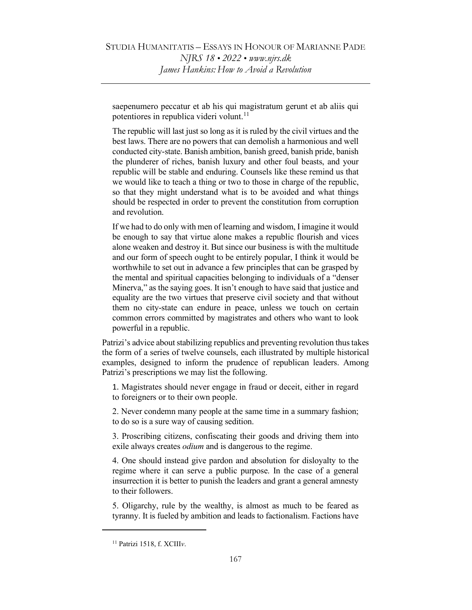saepenumero peccatur et ab his qui magistratum gerunt et ab aliis qui potentiores in republica videri volunt.<sup>11</sup>

The republic will last just so long as it is ruled by the civil virtues and the best laws. There are no powers that can demolish a harmonious and well conducted city-state. Banish ambition, banish greed, banish pride, banish the plunderer of riches, banish luxury and other foul beasts, and your republic will be stable and enduring. Counsels like these remind us that we would like to teach a thing or two to those in charge of the republic, so that they might understand what is to be avoided and what things should be respected in order to prevent the constitution from corruption and revolution.

If we had to do only with men of learning and wisdom, I imagine it would be enough to say that virtue alone makes a republic flourish and vices alone weaken and destroy it. But since our business is with the multitude and our form of speech ought to be entirely popular, I think it would be worthwhile to set out in advance a few principles that can be grasped by the mental and spiritual capacities belonging to individuals of a "denser Minerva," as the saying goes. It isn't enough to have said that justice and equality are the two virtues that preserve civil society and that without them no city-state can endure in peace, unless we touch on certain common errors committed by magistrates and others who want to look powerful in a republic.

Patrizi's advice about stabilizing republics and preventing revolution thus takes the form of a series of twelve counsels, each illustrated by multiple historical examples, designed to inform the prudence of republican leaders. Among Patrizi's prescriptions we may list the following.

1. Magistrates should never engage in fraud or deceit, either in regard to foreigners or to their own people.

2. Never condemn many people at the same time in a summary fashion; to do so is a sure way of causing sedition.

3. Proscribing citizens, confiscating their goods and driving them into exile always creates *odium* and is dangerous to the regime.

4. One should instead give pardon and absolution for disloyalty to the regime where it can serve a public purpose. In the case of a general insurrection it is better to punish the leaders and grant a general amnesty to their followers.

5. Oligarchy, rule by the wealthy, is almost as much to be feared as tyranny. It is fueled by ambition and leads to factionalism. Factions have

 $11$  Patrizi 1518, f. XCIII<sub>V</sub>.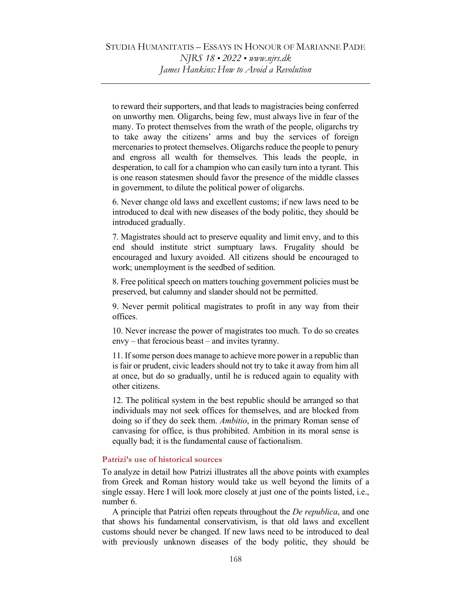to reward their supporters, and that leads to magistracies being conferred on unworthy men. Oligarchs, being few, must always live in fear of the many. To protect themselves from the wrath of the people, oligarchs try to take away the citizens' arms and buy the services of foreign mercenaries to protect themselves. Oligarchs reduce the people to penury and engross all wealth for themselves. This leads the people, in desperation, to call for a champion who can easily turn into a tyrant. This is one reason statesmen should favor the presence of the middle classes in government, to dilute the political power of oligarchs.

6. Never change old laws and excellent customs; if new laws need to be introduced to deal with new diseases of the body politic, they should be introduced gradually.

7. Magistrates should act to preserve equality and limit envy, and to this end should institute strict sumptuary laws. Frugality should be encouraged and luxury avoided. All citizens should be encouraged to work; unemployment is the seedbed of sedition.

8. Free political speech on matters touching government policies must be preserved, but calumny and slander should not be permitted.

9. Never permit political magistrates to profit in any way from their offices.

10. Never increase the power of magistrates too much. To do so creates envy – that ferocious beast – and invites tyranny.

11. If some person does manage to achieve more power in a republic than is fair or prudent, civic leaders should not try to take it away from him all at once, but do so gradually, until he is reduced again to equality with other citizens.

12. The political system in the best republic should be arranged so that individuals may not seek offices for themselves, and are blocked from doing so if they do seek them. Ambitio, in the primary Roman sense of canvasing for office, is thus prohibited. Ambition in its moral sense is equally bad; it is the fundamental cause of factionalism.

# Patrizi's use of historical sources

To analyze in detail how Patrizi illustrates all the above points with examples from Greek and Roman history would take us well beyond the limits of a single essay. Here I will look more closely at just one of the points listed, i.e., number 6.

 A principle that Patrizi often repeats throughout the De republica, and one that shows his fundamental conservativism, is that old laws and excellent customs should never be changed. If new laws need to be introduced to deal with previously unknown diseases of the body politic, they should be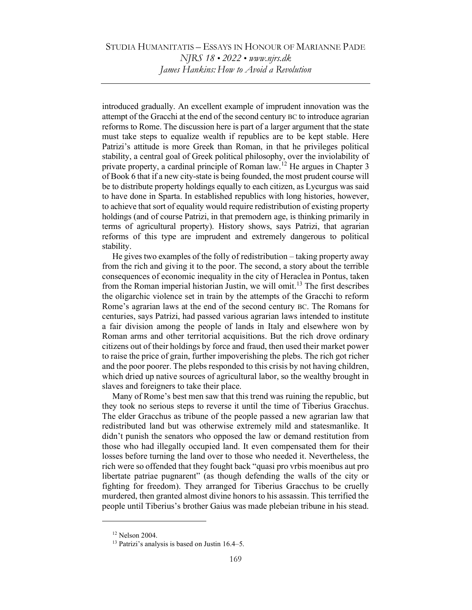introduced gradually. An excellent example of imprudent innovation was the attempt of the Gracchi at the end of the second century BC to introduce agrarian reforms to Rome. The discussion here is part of a larger argument that the state must take steps to equalize wealth if republics are to be kept stable. Here Patrizi's attitude is more Greek than Roman, in that he privileges political stability, a central goal of Greek political philosophy, over the inviolability of private property, a cardinal principle of Roman law.<sup>12</sup> He argues in Chapter 3 of Book 6 that if a new city-state is being founded, the most prudent course will be to distribute property holdings equally to each citizen, as Lycurgus was said to have done in Sparta. In established republics with long histories, however, to achieve that sort of equality would require redistribution of existing property holdings (and of course Patrizi, in that premodern age, is thinking primarily in terms of agricultural property). History shows, says Patrizi, that agrarian reforms of this type are imprudent and extremely dangerous to political stability.

 He gives two examples of the folly of redistribution – taking property away from the rich and giving it to the poor. The second, a story about the terrible consequences of economic inequality in the city of Heraclea in Pontus, taken from the Roman imperial historian Justin, we will omit.<sup>13</sup> The first describes the oligarchic violence set in train by the attempts of the Gracchi to reform Rome's agrarian laws at the end of the second century BC. The Romans for centuries, says Patrizi, had passed various agrarian laws intended to institute a fair division among the people of lands in Italy and elsewhere won by Roman arms and other territorial acquisitions. But the rich drove ordinary citizens out of their holdings by force and fraud, then used their market power to raise the price of grain, further impoverishing the plebs. The rich got richer and the poor poorer. The plebs responded to this crisis by not having children, which dried up native sources of agricultural labor, so the wealthy brought in slaves and foreigners to take their place.

 Many of Rome's best men saw that this trend was ruining the republic, but they took no serious steps to reverse it until the time of Tiberius Gracchus. The elder Gracchus as tribune of the people passed a new agrarian law that redistributed land but was otherwise extremely mild and statesmanlike. It didn't punish the senators who opposed the law or demand restitution from those who had illegally occupied land. It even compensated them for their losses before turning the land over to those who needed it. Nevertheless, the rich were so offended that they fought back "quasi pro vrbis moenibus aut pro libertate patriae pugnarent" (as though defending the walls of the city or fighting for freedom). They arranged for Tiberius Gracchus to be cruelly murdered, then granted almost divine honors to his assassin. This terrified the people until Tiberius's brother Gaius was made plebeian tribune in his stead.

<sup>12</sup> Nelson 2004.

<sup>&</sup>lt;sup>13</sup> Patrizi's analysis is based on Justin 16.4–5.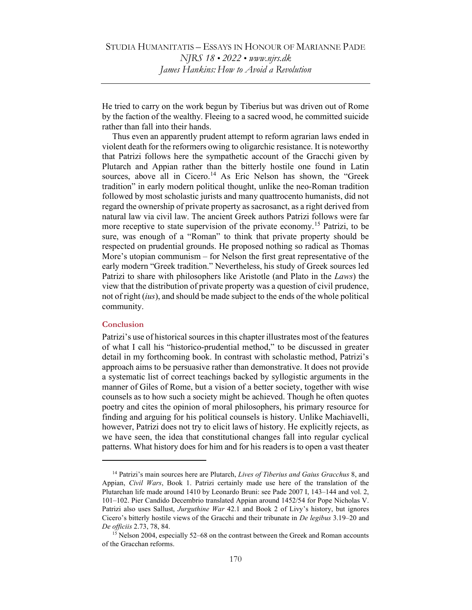He tried to carry on the work begun by Tiberius but was driven out of Rome by the faction of the wealthy. Fleeing to a sacred wood, he committed suicide rather than fall into their hands.

 Thus even an apparently prudent attempt to reform agrarian laws ended in violent death for the reformers owing to oligarchic resistance. It is noteworthy that Patrizi follows here the sympathetic account of the Gracchi given by Plutarch and Appian rather than the bitterly hostile one found in Latin sources, above all in Cicero.<sup>14</sup> As Eric Nelson has shown, the "Greek tradition" in early modern political thought, unlike the neo-Roman tradition followed by most scholastic jurists and many quattrocento humanists, did not regard the ownership of private property as sacrosanct, as a right derived from natural law via civil law. The ancient Greek authors Patrizi follows were far more receptive to state supervision of the private economy.<sup>15</sup> Patrizi, to be sure, was enough of a "Roman" to think that private property should be respected on prudential grounds. He proposed nothing so radical as Thomas More's utopian communism – for Nelson the first great representative of the early modern "Greek tradition." Nevertheless, his study of Greek sources led Patrizi to share with philosophers like Aristotle (and Plato in the Laws) the view that the distribution of private property was a question of civil prudence, not of right (ius), and should be made subject to the ends of the whole political community.

# **Conclusion**

Patrizi's use of historical sources in this chapter illustrates most of the features of what I call his "historico-prudential method," to be discussed in greater detail in my forthcoming book. In contrast with scholastic method, Patrizi's approach aims to be persuasive rather than demonstrative. It does not provide a systematic list of correct teachings backed by syllogistic arguments in the manner of Giles of Rome, but a vision of a better society, together with wise counsels as to how such a society might be achieved. Though he often quotes poetry and cites the opinion of moral philosophers, his primary resource for finding and arguing for his political counsels is history. Unlike Machiavelli, however, Patrizi does not try to elicit laws of history. He explicitly rejects, as we have seen, the idea that constitutional changes fall into regular cyclical patterns. What history does for him and for his readers is to open a vast theater

 $14$  Patrizi's main sources here are Plutarch, Lives of Tiberius and Gaius Gracchus 8, and Appian, Civil Wars, Book 1. Patrizi certainly made use here of the translation of the Plutarchan life made around 1410 by Leonardo Bruni: see Pade 2007 I, 143–144 and vol. 2, 101–102. Pier Candido Decembrio translated Appian around 1452/54 for Pope Nicholas V. Patrizi also uses Sallust, Jurguthine War 42.1 and Book 2 of Livy's history, but ignores Cicero's bitterly hostile views of the Gracchi and their tribunate in De legibus 3.19–20 and De officiis 2.73, 78, 84.

<sup>&</sup>lt;sup>15</sup> Nelson 2004, especially 52–68 on the contrast between the Greek and Roman accounts of the Gracchan reforms.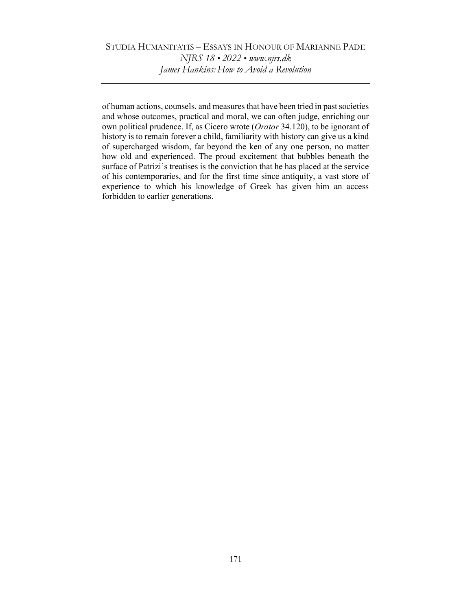# STUDIA HUMANITATIS – ESSAYS IN HONOUR OF MARIANNE PADE NJRS 18 • 2022 • www.njrs.dk James Hankins: How to Avoid a Revolution

of human actions, counsels, and measures that have been tried in past societies and whose outcomes, practical and moral, we can often judge, enriching our own political prudence. If, as Cicero wrote (Orator 34.120), to be ignorant of history is to remain forever a child, familiarity with history can give us a kind of supercharged wisdom, far beyond the ken of any one person, no matter how old and experienced. The proud excitement that bubbles beneath the surface of Patrizi's treatises is the conviction that he has placed at the service of his contemporaries, and for the first time since antiquity, a vast store of experience to which his knowledge of Greek has given him an access forbidden to earlier generations.